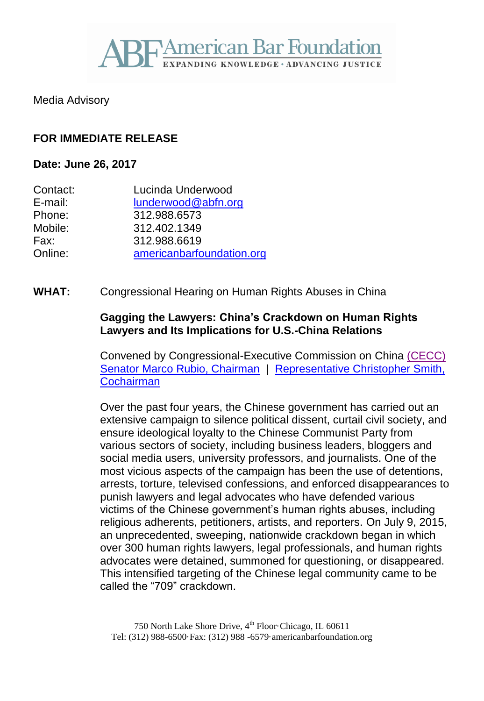

Media Advisory

## **FOR IMMEDIATE RELEASE**

#### **Date: June 26, 2017**

| Contact: | Lucinda Underwood         |
|----------|---------------------------|
| E-mail:  | lunderwood@abfn.org       |
| Phone:   | 312.988.6573              |
| Mobile:  | 312.402.1349              |
| Fax:     | 312.988.6619              |
| Online:  | americanbarfoundation.org |

**WHAT:** Congressional Hearing on Human Rights Abuses in China

### **Gagging the Lawyers: China's Crackdown on Human Rights Lawyers and Its Implications for U.S.-China Relations**

Convened by Congressional-Executive Commission on China [\(CECC\)](http://www.cecc.gov/) [Senator Marco Rubio, Chairman](http://www.cecc.gov/rubio) | [Representative Christopher Smith,](http://www.cecc.gov/smith)  **[Cochairman](http://www.cecc.gov/smith)** 

Over the past four years, the Chinese government has carried out an extensive campaign to silence political dissent, curtail civil society, and ensure ideological loyalty to the Chinese Communist Party from various sectors of society, including business leaders, bloggers and social media users, university professors, and journalists. One of the most vicious aspects of the campaign has been the use of detentions, arrests, torture, televised confessions, and enforced disappearances to punish lawyers and legal advocates who have defended various victims of the Chinese government's human rights abuses, including religious adherents, petitioners, artists, and reporters. On July 9, 2015, an unprecedented, sweeping, nationwide crackdown began in which over 300 human rights lawyers, legal professionals, and human rights advocates were detained, summoned for questioning, or disappeared. This intensified targeting of the Chinese legal community came to be called the "709" crackdown.